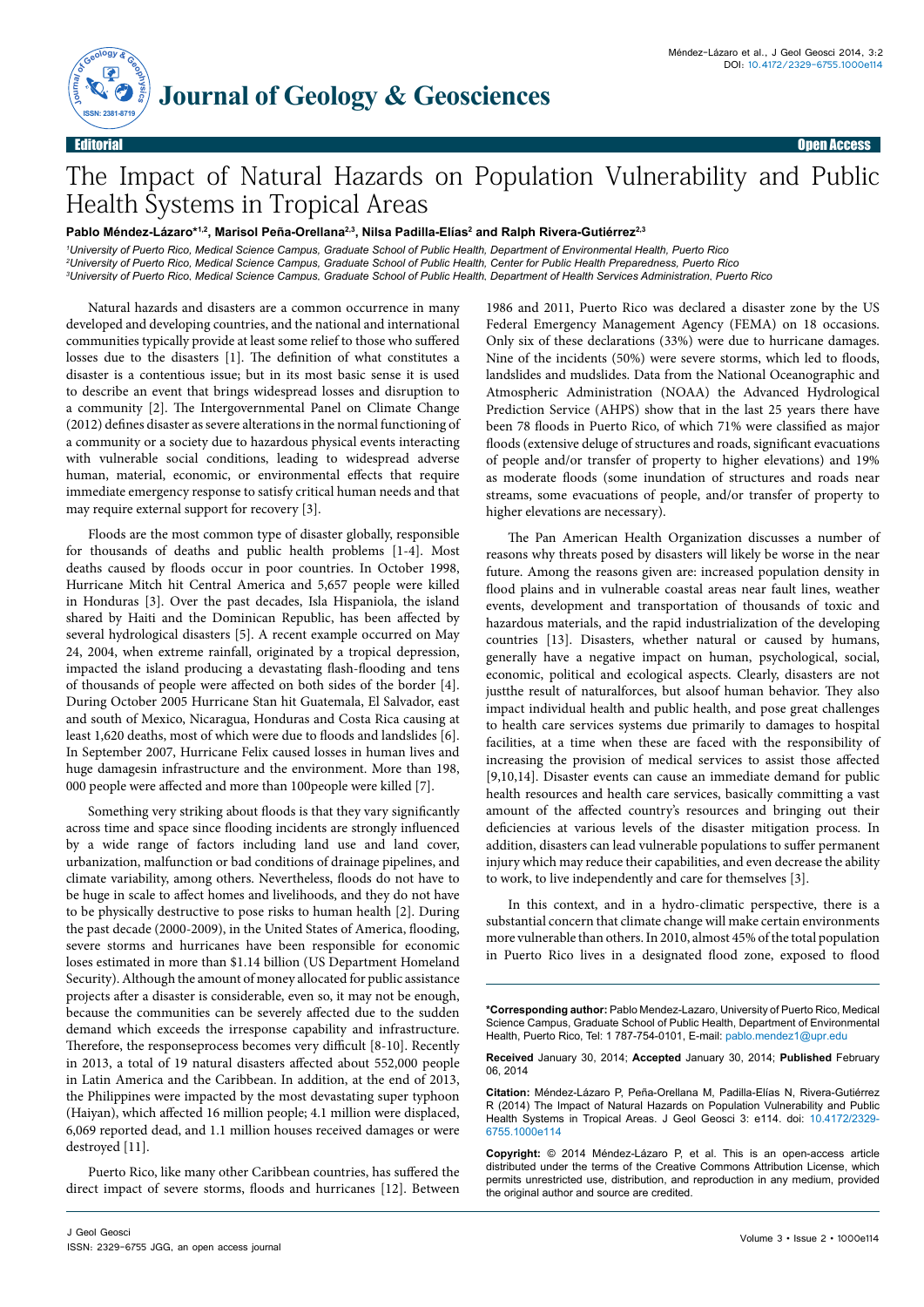

## The Impact of Natural Hazards on Population Vulnerability and Public Health Systems in Tropical Areas

Pablo Méndez-Lázaro\*<sup>1.2</sup>, Marisol Peña-Orellana<sup>2,3</sup>, Nilsa Padilla-Elías<sup>2</sup> and Ralph Rivera-Gutiérrez<sup>2,3</sup>

*1 University of Puerto Rico, Medical Science Campus, Graduate School of Public Health, Department of Environmental Health, Puerto Rico 2 University of Puerto Rico, Medical Science Campus, Graduate School of Public Health, Center for Public Health Preparedness, Puerto Rico 3 University of Puerto Rico, Medical Science Campus, Graduate School of Public Health, Department of Health Services Administration, Puerto Rico*

Natural hazards and disasters are a common occurrence in many developed and developing countries, and the national and international communities typically provide at least some relief to those who suffered losses due to the disasters [1]. The definition of what constitutes a disaster is a contentious issue; but in its most basic sense it is used to describe an event that brings widespread losses and disruption to a community [2]. The Intergovernmental Panel on Climate Change (2012) defines disaster as severe alterations in the normal functioning of a community or a society due to hazardous physical events interacting with vulnerable social conditions, leading to widespread adverse human, material, economic, or environmental effects that require immediate emergency response to satisfy critical human needs and that may require external support for recovery [3].

Floods are the most common type of disaster globally, responsible for thousands of deaths and public health problems [1-4]. Most deaths caused by floods occur in poor countries. In October 1998, Hurricane Mitch hit Central America and 5,657 people were killed in Honduras [3]. Over the past decades, Isla Hispaniola, the island shared by Haiti and the Dominican Republic, has been affected by several hydrological disasters [5]. A recent example occurred on May 24, 2004, when extreme rainfall, originated by a tropical depression, impacted the island producing a devastating flash-flooding and tens of thousands of people were affected on both sides of the border [4]. During October 2005 Hurricane Stan hit Guatemala, El Salvador, east and south of Mexico, Nicaragua, Honduras and Costa Rica causing at least 1,620 deaths, most of which were due to floods and landslides [6]. In September 2007, Hurricane Felix caused losses in human lives and huge damagesin infrastructure and the environment. More than 198, 000 people were affected and more than 100people were killed [7].

Something very striking about floods is that they vary significantly across time and space since flooding incidents are strongly influenced by a wide range of factors including land use and land cover, urbanization, malfunction or bad conditions of drainage pipelines, and climate variability, among others. Nevertheless, floods do not have to be huge in scale to affect homes and livelihoods, and they do not have to be physically destructive to pose risks to human health [2]. During the past decade (2000-2009), in the United States of America, flooding, severe storms and hurricanes have been responsible for economic loses estimated in more than \$1.14 billion (US Department Homeland Security). Although the amount of money allocated for public assistance projects after a disaster is considerable, even so, it may not be enough, because the communities can be severely affected due to the sudden demand which exceeds the irresponse capability and infrastructure. Therefore, the responseprocess becomes very difficult [8-10]. Recently in 2013, a total of 19 natural disasters affected about 552,000 people in Latin America and the Caribbean. In addition, at the end of 2013, the Philippines were impacted by the most devastating super typhoon (Haiyan), which affected 16 million people; 4.1 million were displaced, 6,069 reported dead, and 1.1 million houses received damages or were destroyed [11].

Puerto Rico, like many other Caribbean countries, has suffered the direct impact of severe storms, floods and hurricanes [12]. Between

1986 and 2011, Puerto Rico was declared a disaster zone by the US Federal Emergency Management Agency (FEMA) on 18 occasions. Only six of these declarations (33%) were due to hurricane damages. Nine of the incidents (50%) were severe storms, which led to floods, landslides and mudslides. Data from the National Oceanographic and Atmospheric Administration (NOAA) the Advanced Hydrological Prediction Service (AHPS) show that in the last 25 years there have been 78 floods in Puerto Rico, of which 71% were classified as major floods (extensive deluge of structures and roads, significant evacuations of people and/or transfer of property to higher elevations) and 19% as moderate floods (some inundation of structures and roads near streams, some evacuations of people, and/or transfer of property to higher elevations are necessary).

The Pan American Health Organization discusses a number of reasons why threats posed by disasters will likely be worse in the near future. Among the reasons given are: increased population density in flood plains and in vulnerable coastal areas near fault lines, weather events, development and transportation of thousands of toxic and hazardous materials, and the rapid industrialization of the developing countries [13]. Disasters, whether natural or caused by humans, generally have a negative impact on human, psychological, social, economic, political and ecological aspects. Clearly, disasters are not justthe result of naturalforces, but alsoof human behavior. They also impact individual health and public health, and pose great challenges to health care services systems due primarily to damages to hospital facilities, at a time when these are faced with the responsibility of increasing the provision of medical services to assist those affected [9,10,14]. Disaster events can cause an immediate demand for public health resources and health care services, basically committing a vast amount of the affected country's resources and bringing out their deficiencies at various levels of the disaster mitigation process. In addition, disasters can lead vulnerable populations to suffer permanent injury which may reduce their capabilities, and even decrease the ability to work, to live independently and care for themselves [3].

In this context, and in a hydro-climatic perspective, there is a substantial concern that climate change will make certain environments more vulnerable than others. In 2010, almost 45% of the total population in Puerto Rico lives in a designated flood zone, exposed to flood

**\*Corresponding author:** Pablo Mendez-Lazaro, University of Puerto Rico, Medical Science Campus, Graduate School of Public Health, Department of Environmental Health, Puerto Rico, Tel: 1 787-754-0101, E-mail: pablo.mendez1@upr.edu

**Received** January 30, 2014; **Accepted** January 30, 2014; **Published** February 06, 2014

**Citation:** Méndez-Lázaro P, Peña-Orellana M, Padilla-Elías N, Rivera-Gutiérrez R (2014) The Impact of Natural Hazards on Population Vulnerability and Public Health Systems in Tropical Areas. J Geol Geosci 3: e114. doi: 10.4172/2329- 6755.1000e114

**Copyright:** © 2014 Méndez-Lázaro P, et al. This is an open-access article distributed under the terms of the Creative Commons Attribution License, which permits unrestricted use, distribution, and reproduction in any medium, provided the original author and source are credited.